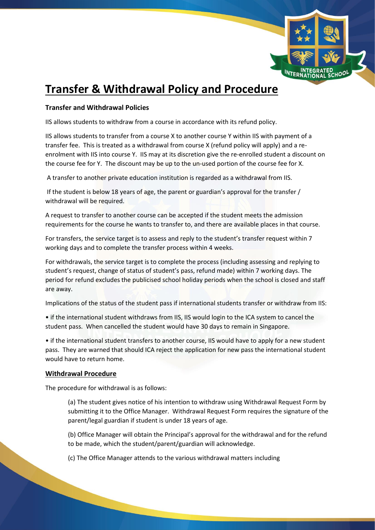

# **Transfer & Withdrawal Policy and Procedure**

### **Transfer and Withdrawal Policies**

IIS allows students to withdraw from a course in accordance with its refund policy.

IIS allows students to transfer from a course X to another course Y within IIS with payment of a transfer fee. This is treated as a withdrawal from course X (refund policy will apply) and a reenrolment with IIS into course Y. IIS may at its discretion give the re-enrolled student a discount on the course fee for Y. The discount may be up to the un-used portion of the course fee for X.

A transfer to another private education institution is regarded as a withdrawal from IIS.

If the student is below 18 years of age, the parent or guardian's approval for the transfer / withdrawal will be required.

A request to transfer to another course can be accepted if the student meets the admission requirements for the course he wants to transfer to, and there are available places in that course.

For transfers, the service target is to assess and reply to the student's transfer request within 7 working days and to complete the transfer process within 4 weeks.

For withdrawals, the service target is to complete the process (including assessing and replying to student's request, change of status of student's pass, refund made) within 7 working days. The period for refund excludes the publicised school holiday periods when the school is closed and staff are away.

Implications of the status of the student pass if international students transfer or withdraw from IIS:

• if the international student withdraws from IIS, IIS would login to the ICA system to cancel the student pass. When cancelled the student would have 30 days to remain in Singapore.

• if the international student transfers to another course, IIS would have to apply for a new student pass. They are warned that should ICA reject the application for new pass the international student would have to return home.

#### **Withdrawal Procedure**

The procedure for withdrawal is as follows:

(a) The student gives notice of his intention to withdraw using Withdrawal Request Form by submitting it to the Office Manager. Withdrawal Request Form requires the signature of the parent/legal guardian if student is under 18 years of age.

(b) Office Manager will obtain the Principal's approval for the withdrawal and for the refund to be made, which the student/parent/guardian will acknowledge.

(c) The Office Manager attends to the various withdrawal matters including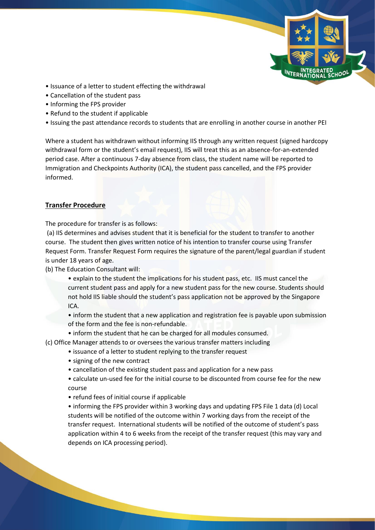

- Issuance of a letter to student effecting the withdrawal
- Cancellation of the student pass
- Informing the FPS provider
- Refund to the student if applicable
- Issuing the past attendance records to students that are enrolling in another course in another PEI

Where a student has withdrawn without informing IIS through any written request (signed hardcopy withdrawal form or the student's email request), IIS will treat this as an absence-for-an-extended period case. After a continuous 7-day absence from class, the student name will be reported to Immigration and Checkpoints Authority (ICA), the student pass cancelled, and the FPS provider informed.

## **Transfer Procedure**

The procedure for transfer is as follows:

(a) IIS determines and advises student that it is beneficial for the student to transfer to another course. The student then gives written notice of his intention to transfer course using Transfer Request Form. Transfer Request Form requires the signature of the parent/legal guardian if student is under 18 years of age.

- (b) The Education Consultant will:
	- explain to the student the implications for his student pass, etc. IIS must cancel the current student pass and apply for a new student pass for the new course. Students should not hold IIS liable should the student's pass application not be approved by the Singapore ICA.

• inform the student that a new application and registration fee is payable upon submission of the form and the fee is non-refundable.

• inform the student that he can be charged for all modules consumed.

(c) Office Manager attends to or oversees the various transfer matters including

- issuance of a letter to student replying to the transfer request
- signing of the new contract
- cancellation of the existing student pass and application for a new pass
- calculate un-used fee for the initial course to be discounted from course fee for the new course
- refund fees of initial course if applicable

• informing the FPS provider within 3 working days and updating FPS File 1 data (d) Local students will be notified of the outcome within 7 working days from the receipt of the transfer request. International students will be notified of the outcome of student's pass application within 4 to 6 weeks from the receipt of the transfer request (this may vary and depends on ICA processing period).